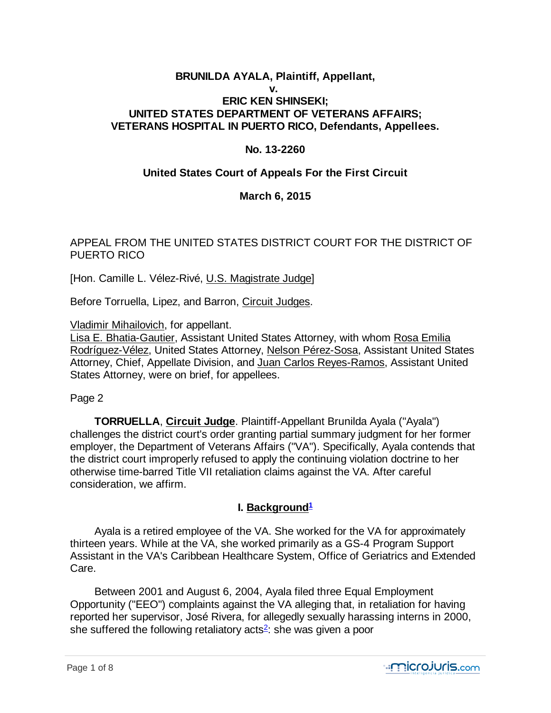## **BRUNILDA AYALA, Plaintiff, Appellant, v. ERIC KEN SHINSEKI; UNITED STATES DEPARTMENT OF VETERANS AFFAIRS; VETERANS HOSPITAL IN PUERTO RICO, Defendants, Appellees.**

## **No. 13-2260**

## **United States Court of Appeals For the First Circuit**

## **March 6, 2015**

## APPEAL FROM THE UNITED STATES DISTRICT COURT FOR THE DISTRICT OF PUERTO RICO

[Hon. Camille L. Vélez-Rivé, U.S. Magistrate Judge]

Before Torruella, Lipez, and Barron, Circuit Judges.

Vladimir Mihailovich, for appellant.

Lisa E. Bhatia-Gautier, Assistant United States Attorney, with whom Rosa Emilia Rodríguez-Vélez, United States Attorney, Nelson Pérez-Sosa, Assistant United States Attorney, Chief, Appellate Division, and Juan Carlos Reyes-Ramos, Assistant United States Attorney, were on brief, for appellees.

Page 2

 **TORRUELLA**, **Circuit Judge**. Plaintiff-Appellant Brunilda Ayala ("Ayala") challenges the district court's order granting partial summary judgment for her former employer, the Department of Veterans Affairs ("VA"). Specifically, Ayala contends that the district court improperly refused to apply the continuing violation doctrine to her otherwise time-barred Title VII retaliation claims against the VA. After careful consideration, we affirm.

## **I. Background<sup>1</sup>**

 Ayala is a retired employee of the VA. She worked for the VA for approximately thirteen years. While at the VA, she worked primarily as a GS-4 Program Support Assistant in the VA's Caribbean Healthcare System, Office of Geriatrics and Extended Care.

 Between 2001 and August 6, 2004, Ayala filed three Equal Employment Opportunity ("EEO") complaints against the VA alleging that, in retaliation for having reported her supervisor, José Rivera, for allegedly sexually harassing interns in 2000, she suffered the following retaliatory acts<sup>2</sup>: she was given a poor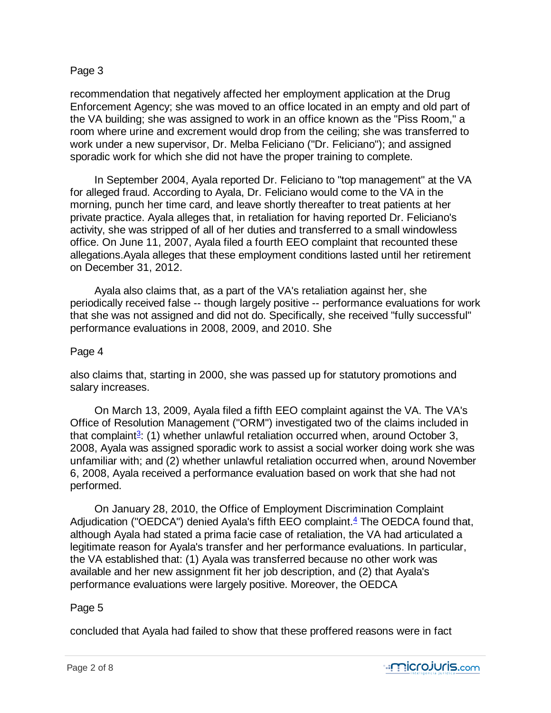### Page 3

recommendation that negatively affected her employment application at the Drug Enforcement Agency; she was moved to an office located in an empty and old part of the VA building; she was assigned to work in an office known as the "Piss Room," a room where urine and excrement would drop from the ceiling; she was transferred to work under a new supervisor, Dr. Melba Feliciano ("Dr. Feliciano"); and assigned sporadic work for which she did not have the proper training to complete.

 In September 2004, Ayala reported Dr. Feliciano to "top management" at the VA for alleged fraud. According to Ayala, Dr. Feliciano would come to the VA in the morning, punch her time card, and leave shortly thereafter to treat patients at her private practice. Ayala alleges that, in retaliation for having reported Dr. Feliciano's activity, she was stripped of all of her duties and transferred to a small windowless office. On June 11, 2007, Ayala filed a fourth EEO complaint that recounted these allegations.Ayala alleges that these employment conditions lasted until her retirement on December 31, 2012.

 Ayala also claims that, as a part of the VA's retaliation against her, she periodically received false -- though largely positive -- performance evaluations for work that she was not assigned and did not do. Specifically, she received "fully successful" performance evaluations in 2008, 2009, and 2010. She

### Page 4

also claims that, starting in 2000, she was passed up for statutory promotions and salary increases.

 On March 13, 2009, Ayala filed a fifth EEO complaint against the VA. The VA's Office of Resolution Management ("ORM") investigated two of the claims included in that complaint<sup>3</sup>: (1) whether unlawful retaliation occurred when, around October 3, 2008, Ayala was assigned sporadic work to assist a social worker doing work she was unfamiliar with; and (2) whether unlawful retaliation occurred when, around November 6, 2008, Ayala received a performance evaluation based on work that she had not performed.

 On January 28, 2010, the Office of Employment Discrimination Complaint Adjudication ("OEDCA") denied Ayala's fifth EEO complaint.<sup>4</sup> The OEDCA found that, although Ayala had stated a prima facie case of retaliation, the VA had articulated a legitimate reason for Ayala's transfer and her performance evaluations. In particular, the VA established that: (1) Ayala was transferred because no other work was available and her new assignment fit her job description, and (2) that Ayala's performance evaluations were largely positive. Moreover, the OEDCA

### Page 5

concluded that Ayala had failed to show that these proffered reasons were in fact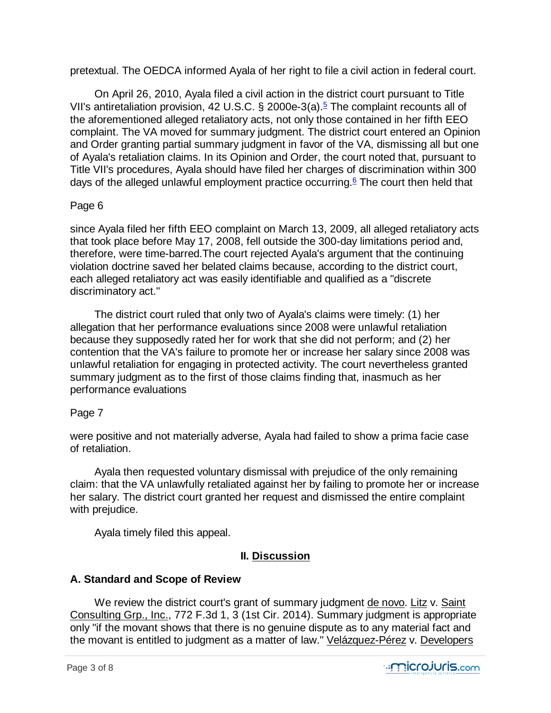pretextual. The OEDCA informed Ayala of her right to file a civil action in federal court.

 On April 26, 2010, Ayala filed a civil action in the district court pursuant to Title VII's antiretaliation provision, 42 U.S.C. § 2000e-3(a).<sup>5</sup> The complaint recounts all of the aforementioned alleged retaliatory acts, not only those contained in her fifth EEO complaint. The VA moved for summary judgment. The district court entered an Opinion and Order granting partial summary judgment in favor of the VA, dismissing all but one of Ayala's retaliation claims. In its Opinion and Order, the court noted that, pursuant to Title VII's procedures, Ayala should have filed her charges of discrimination within 300 days of the alleged unlawful employment practice occurring.<sup>6</sup> The court then held that

## Page 6

since Ayala filed her fifth EEO complaint on March 13, 2009, all alleged retaliatory acts that took place before May 17, 2008, fell outside the 300-day limitations period and, therefore, were time-barred.The court rejected Ayala's argument that the continuing violation doctrine saved her belated claims because, according to the district court, each alleged retaliatory act was easily identifiable and qualified as a "discrete discriminatory act."

 The district court ruled that only two of Ayala's claims were timely: (1) her allegation that her performance evaluations since 2008 were unlawful retaliation because they supposedly rated her for work that she did not perform; and (2) her contention that the VA's failure to promote her or increase her salary since 2008 was unlawful retaliation for engaging in protected activity. The court nevertheless granted summary judgment as to the first of those claims finding that, inasmuch as her performance evaluations

## Page 7

were positive and not materially adverse, Ayala had failed to show a prima facie case of retaliation.

 Ayala then requested voluntary dismissal with prejudice of the only remaining claim: that the VA unlawfully retaliated against her by failing to promote her or increase her salary. The district court granted her request and dismissed the entire complaint with prejudice.

Ayala timely filed this appeal.

# **II. Discussion**

# **A. Standard and Scope of Review**

We review the district court's grant of summary judgment de novo. Litz v. Saint Consulting Grp., Inc., 772 F.3d 1, 3 (1st Cir. 2014). Summary judgment is appropriate only "if the movant shows that there is no genuine dispute as to any material fact and the movant is entitled to judgment as a matter of law." Velázquez-Pérez v. Developers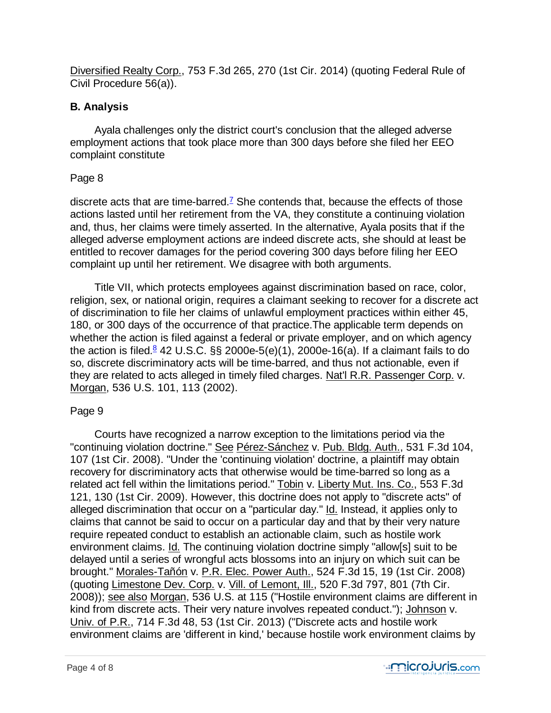Diversified Realty Corp., 753 F.3d 265, 270 (1st Cir. 2014) (quoting Federal Rule of Civil Procedure 56(a)).

## **B. Analysis**

 Ayala challenges only the district court's conclusion that the alleged adverse employment actions that took place more than 300 days before she filed her EEO complaint constitute

## Page 8

discrete acts that are time-barred.<sup>7</sup> She contends that, because the effects of those actions lasted until her retirement from the VA, they constitute a continuing violation and, thus, her claims were timely asserted. In the alternative, Ayala posits that if the alleged adverse employment actions are indeed discrete acts, she should at least be entitled to recover damages for the period covering 300 days before filing her EEO complaint up until her retirement. We disagree with both arguments.

 Title VII, which protects employees against discrimination based on race, color, religion, sex, or national origin, requires a claimant seeking to recover for a discrete act of discrimination to file her claims of unlawful employment practices within either 45, 180, or 300 days of the occurrence of that practice.The applicable term depends on whether the action is filed against a federal or private employer, and on which agency the action is filed.<sup>g</sup> 42 U.S.C. §§ 2000e-5(e)(1), 2000e-16(a). If a claimant fails to do so, discrete discriminatory acts will be time-barred, and thus not actionable, even if they are related to acts alleged in timely filed charges. Nat'l R.R. Passenger Corp. v. Morgan, 536 U.S. 101, 113 (2002).

## Page 9

 Courts have recognized a narrow exception to the limitations period via the "continuing violation doctrine." See Pérez-Sánchez v. Pub. Bldg. Auth., 531 F.3d 104, 107 (1st Cir. 2008). "Under the 'continuing violation' doctrine, a plaintiff may obtain recovery for discriminatory acts that otherwise would be time-barred so long as a related act fell within the limitations period." Tobin v. Liberty Mut. Ins. Co., 553 F.3d 121, 130 (1st Cir. 2009). However, this doctrine does not apply to "discrete acts" of alleged discrimination that occur on a "particular day." Id. Instead, it applies only to claims that cannot be said to occur on a particular day and that by their very nature require repeated conduct to establish an actionable claim, such as hostile work environment claims. Id. The continuing violation doctrine simply "allow[s] suit to be delayed until a series of wrongful acts blossoms into an injury on which suit can be brought." Morales-Tañón v. P.R. Elec. Power Auth., 524 F.3d 15, 19 (1st Cir. 2008) (quoting Limestone Dev. Corp. v. Vill. of Lemont, Ill., 520 F.3d 797, 801 (7th Cir. 2008)); see also Morgan, 536 U.S. at 115 ("Hostile environment claims are different in kind from discrete acts. Their very nature involves repeated conduct."); Johnson v. Univ. of P.R., 714 F.3d 48, 53 (1st Cir. 2013) ("Discrete acts and hostile work environment claims are 'different in kind,' because hostile work environment claims by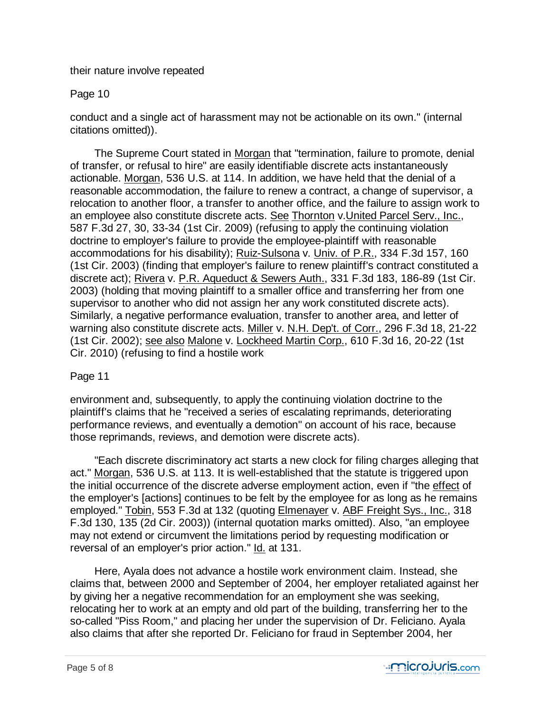their nature involve repeated

### Page 10

conduct and a single act of harassment may not be actionable on its own." (internal citations omitted)).

 The Supreme Court stated in Morgan that "termination, failure to promote, denial of transfer, or refusal to hire" are easily identifiable discrete acts instantaneously actionable. Morgan, 536 U.S. at 114. In addition, we have held that the denial of a reasonable accommodation, the failure to renew a contract, a change of supervisor, a relocation to another floor, a transfer to another office, and the failure to assign work to an employee also constitute discrete acts. See Thornton v.United Parcel Serv., Inc., 587 F.3d 27, 30, 33-34 (1st Cir. 2009) (refusing to apply the continuing violation doctrine to employer's failure to provide the employee-plaintiff with reasonable accommodations for his disability); Ruiz-Sulsona v. Univ. of P.R., 334 F.3d 157, 160 (1st Cir. 2003) (finding that employer's failure to renew plaintiff's contract constituted a discrete act); Rivera v. P.R. Aqueduct & Sewers Auth., 331 F.3d 183, 186-89 (1st Cir. 2003) (holding that moving plaintiff to a smaller office and transferring her from one supervisor to another who did not assign her any work constituted discrete acts). Similarly, a negative performance evaluation, transfer to another area, and letter of warning also constitute discrete acts. Miller v. N.H. Dep't. of Corr., 296 F.3d 18, 21-22 (1st Cir. 2002); see also Malone v. Lockheed Martin Corp., 610 F.3d 16, 20-22 (1st Cir. 2010) (refusing to find a hostile work

## Page 11

environment and, subsequently, to apply the continuing violation doctrine to the plaintiff's claims that he "received a series of escalating reprimands, deteriorating performance reviews, and eventually a demotion" on account of his race, because those reprimands, reviews, and demotion were discrete acts).

 "Each discrete discriminatory act starts a new clock for filing charges alleging that act." Morgan, 536 U.S. at 113. It is well-established that the statute is triggered upon the initial occurrence of the discrete adverse employment action, even if "the effect of the employer's [actions] continues to be felt by the employee for as long as he remains employed." Tobin, 553 F.3d at 132 (quoting Elmenayer v. ABF Freight Sys., Inc., 318 F.3d 130, 135 (2d Cir. 2003)) (internal quotation marks omitted). Also, "an employee may not extend or circumvent the limitations period by requesting modification or reversal of an employer's prior action." Id. at 131.

 Here, Ayala does not advance a hostile work environment claim. Instead, she claims that, between 2000 and September of 2004, her employer retaliated against her by giving her a negative recommendation for an employment she was seeking, relocating her to work at an empty and old part of the building, transferring her to the so-called "Piss Room," and placing her under the supervision of Dr. Feliciano. Ayala also claims that after she reported Dr. Feliciano for fraud in September 2004, her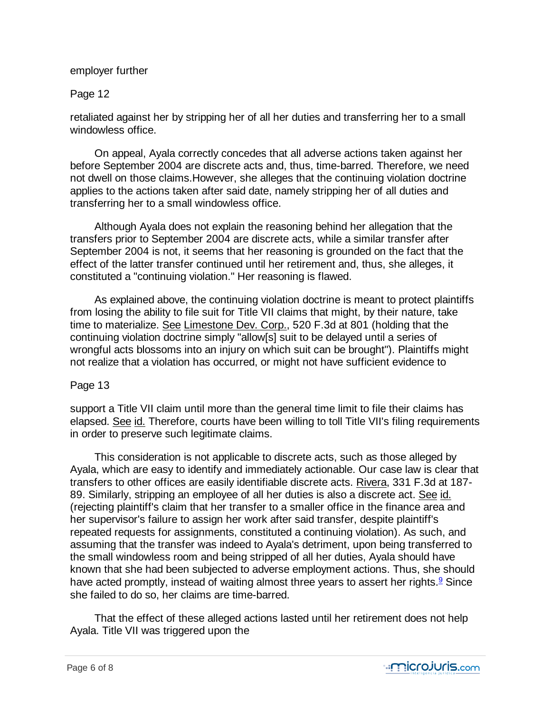### employer further

### Page 12

retaliated against her by stripping her of all her duties and transferring her to a small windowless office.

 On appeal, Ayala correctly concedes that all adverse actions taken against her before September 2004 are discrete acts and, thus, time-barred. Therefore, we need not dwell on those claims.However, she alleges that the continuing violation doctrine applies to the actions taken after said date, namely stripping her of all duties and transferring her to a small windowless office.

 Although Ayala does not explain the reasoning behind her allegation that the transfers prior to September 2004 are discrete acts, while a similar transfer after September 2004 is not, it seems that her reasoning is grounded on the fact that the effect of the latter transfer continued until her retirement and, thus, she alleges, it constituted a "continuing violation." Her reasoning is flawed.

 As explained above, the continuing violation doctrine is meant to protect plaintiffs from losing the ability to file suit for Title VII claims that might, by their nature, take time to materialize. See Limestone Dev. Corp., 520 F.3d at 801 (holding that the continuing violation doctrine simply "allow[s] suit to be delayed until a series of wrongful acts blossoms into an injury on which suit can be brought"). Plaintiffs might not realize that a violation has occurred, or might not have sufficient evidence to

### Page 13

support a Title VII claim until more than the general time limit to file their claims has elapsed. See id. Therefore, courts have been willing to toll Title VII's filing requirements in order to preserve such legitimate claims.

 This consideration is not applicable to discrete acts, such as those alleged by Ayala, which are easy to identify and immediately actionable. Our case law is clear that transfers to other offices are easily identifiable discrete acts. Rivera, 331 F.3d at 187- 89. Similarly, stripping an employee of all her duties is also a discrete act. See id. (rejecting plaintiff's claim that her transfer to a smaller office in the finance area and her supervisor's failure to assign her work after said transfer, despite plaintiff's repeated requests for assignments, constituted a continuing violation). As such, and assuming that the transfer was indeed to Ayala's detriment, upon being transferred to the small windowless room and being stripped of all her duties, Ayala should have known that she had been subjected to adverse employment actions. Thus, she should have acted promptly, instead of waiting almost three years to assert her rights.<sup>9</sup> Since she failed to do so, her claims are time-barred.

 That the effect of these alleged actions lasted until her retirement does not help Ayala. Title VII was triggered upon the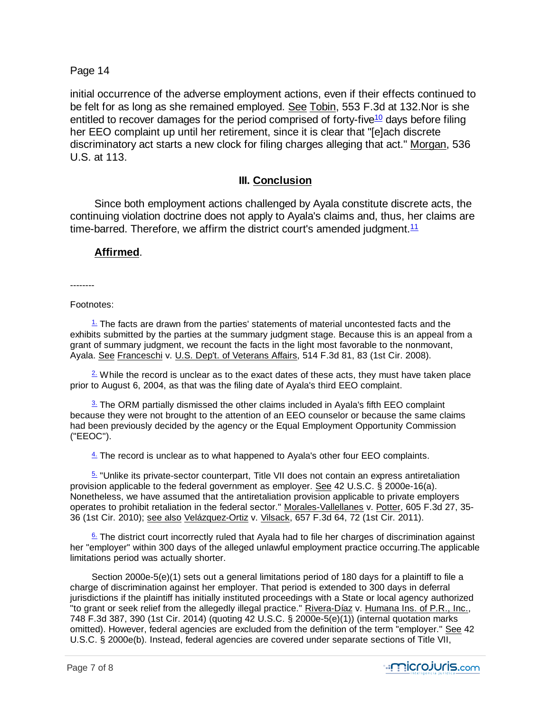### Page 14

initial occurrence of the adverse employment actions, even if their effects continued to be felt for as long as she remained employed. See Tobin, 553 F.3d at 132.Nor is she entitled to recover damages for the period comprised of forty-five<sup>10</sup> days before filing her EEO complaint up until her retirement, since it is clear that "[e]ach discrete discriminatory act starts a new clock for filing charges alleging that act." Morgan, 536 U.S. at 113.

### **III. Conclusion**

 Since both employment actions challenged by Ayala constitute discrete acts, the continuing violation doctrine does not apply to Ayala's claims and, thus, her claims are time-barred. Therefore, we affirm the district court's amended judgment.  $11$ 

### **Affirmed**.

--------

#### Footnotes:

 $\frac{1}{2}$  The facts are drawn from the parties' statements of material uncontested facts and the exhibits submitted by the parties at the summary judgment stage. Because this is an appeal from a grant of summary judgment, we recount the facts in the light most favorable to the nonmovant, Ayala. See Franceschi v. U.S. Dep't. of Veterans Affairs, 514 F.3d 81, 83 (1st Cir. 2008).

 $2\,\omega$  While the record is unclear as to the exact dates of these acts, they must have taken place prior to August 6, 2004, as that was the filing date of Ayala's third EEO complaint.

 $3.$  The ORM partially dismissed the other claims included in Ayala's fifth EEO complaint because they were not brought to the attention of an EEO counselor or because the same claims had been previously decided by the agency or the Equal Employment Opportunity Commission ("EEOC").

 $4.$  The record is unclear as to what happened to Ayala's other four EEO complaints.

 5. "Unlike its private-sector counterpart, Title VII does not contain an express antiretaliation provision applicable to the federal government as employer. See 42 U.S.C. § 2000e-16(a). Nonetheless, we have assumed that the antiretaliation provision applicable to private employers operates to prohibit retaliation in the federal sector." Morales-Vallellanes v. Potter, 605 F.3d 27, 35- 36 (1st Cir. 2010); see also Velázquez-Ortiz v. Vilsack, 657 F.3d 64, 72 (1st Cir. 2011).

 $6.$  The district court incorrectly ruled that Ayala had to file her charges of discrimination against her "employer" within 300 days of the alleged unlawful employment practice occurring.The applicable limitations period was actually shorter.

 Section 2000e-5(e)(1) sets out a general limitations period of 180 days for a plaintiff to file a charge of discrimination against her employer. That period is extended to 300 days in deferral jurisdictions if the plaintiff has initially instituted proceedings with a State or local agency authorized "to grant or seek relief from the allegedly illegal practice." Rivera-Díaz v. Humana Ins. of P.R., Inc., 748 F.3d 387, 390 (1st Cir. 2014) (quoting 42 U.S.C. § 2000e-5(e)(1)) (internal quotation marks omitted). However, federal agencies are excluded from the definition of the term "employer." See 42 U.S.C. § 2000e(b). Instead, federal agencies are covered under separate sections of Title VII,